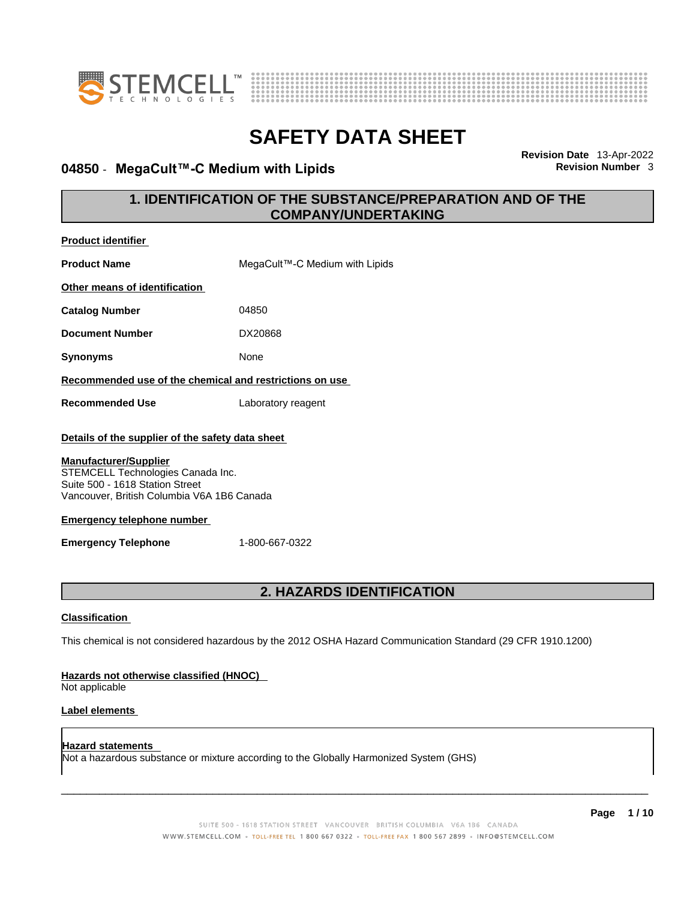



## **04850 · MegaCult™-C Medium with Lipids**

**Revision Date** 13-Apr-2022

## **1. IDENTIFICATION OF THE SUBSTANCE/PREPARATION AND OF THE COMPANY/UNDERTAKING**

| <b>Product identifier</b>                                                                                                                          |                                |  |
|----------------------------------------------------------------------------------------------------------------------------------------------------|--------------------------------|--|
| <b>Product Name</b>                                                                                                                                | MegaCult™-C Medium with Lipids |  |
| Other means of identification                                                                                                                      |                                |  |
| <b>Catalog Number</b>                                                                                                                              | 04850                          |  |
| <b>Document Number</b>                                                                                                                             | DX20868                        |  |
| <b>Synonyms</b>                                                                                                                                    | None                           |  |
| Recommended use of the chemical and restrictions on use                                                                                            |                                |  |
| <b>Recommended Use</b>                                                                                                                             | Laboratory reagent             |  |
| Details of the supplier of the safety data sheet                                                                                                   |                                |  |
| <b>Manufacturer/Supplier</b><br>STEMCELL Technologies Canada Inc.<br>Suite 500 - 1618 Station Street<br>Vancouver, British Columbia V6A 1B6 Canada |                                |  |
| <b>Emergency telephone number</b>                                                                                                                  |                                |  |
| <b>Emergency Telephone</b>                                                                                                                         | 1-800-667-0322                 |  |
|                                                                                                                                                    |                                |  |
|                                                                                                                                                    | 2. HAZARDS IDENTIFICATION      |  |
| <b>Classification</b>                                                                                                                              |                                |  |
| This chemical is not considered hazardous by the 2012 OSHA Hazard Communication Standard (29 CFR 1910.1200)                                        |                                |  |
| Hazards not otherwise classified (HNOC)<br>Not applicable                                                                                          |                                |  |
| Label elements                                                                                                                                     |                                |  |
| <b>Hazard statements</b>                                                                                                                           |                                |  |

Not a hazardous substance or mixture according to the Globally Harmonized System (GHS)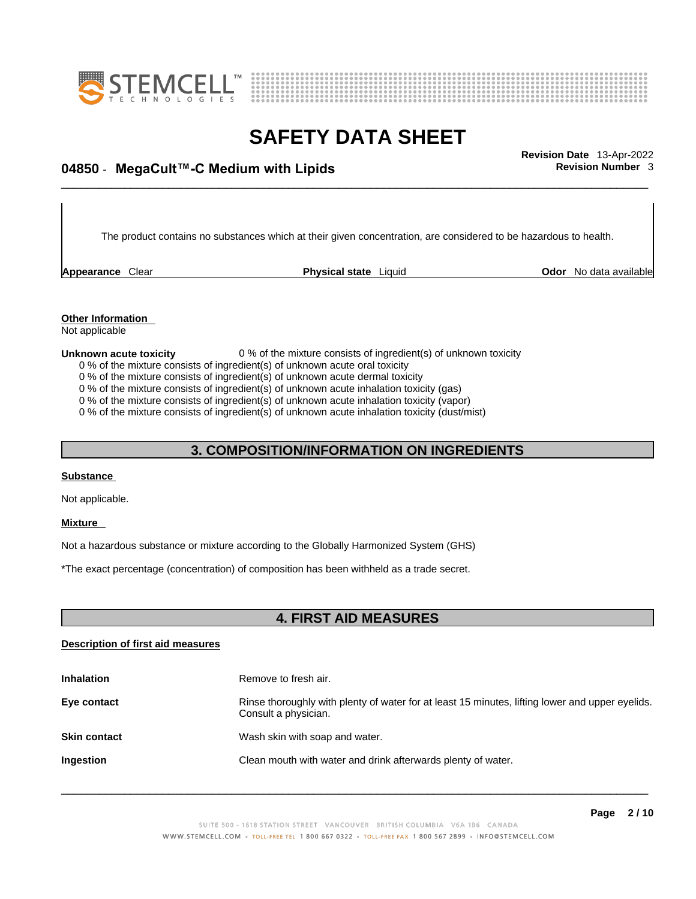



\_\_\_\_\_\_\_\_\_\_\_\_\_\_\_\_\_\_\_\_\_\_\_\_\_\_\_\_\_\_\_\_\_\_\_\_\_\_\_\_\_\_\_\_\_\_\_\_\_\_\_\_\_\_\_\_\_\_\_\_\_\_\_\_\_\_\_\_\_\_\_\_\_\_\_\_\_\_\_\_\_\_\_\_\_\_\_\_\_\_\_\_\_ **Revision Date** 13-Apr-2022 **04850** - **MegaCult™-C Medium with Lipids Revision Number** 3

The product contains no substances which at their given concentration, are considered to be hazardous to health.

**Appearance** Clear **Physical state** Liquid

**Odor** No data available

**Other Information**  Not applicable

#### **Unknown acute toxicity** 0 % of the mixture consists of ingredient(s) of unknown toxicity

0 % of the mixture consists of ingredient(s) of unknown acute oral toxicity

0 % of the mixture consists of ingredient(s) of unknown acute dermal toxicity

0 % of the mixture consists of ingredient(s) of unknown acute inhalation toxicity (gas)

0 % of the mixture consists of ingredient(s) of unknown acute inhalation toxicity (vapor)

0 % of the mixture consists of ingredient(s) of unknown acute inhalation toxicity (dust/mist)

### **3. COMPOSITION/INFORMATION ON INGREDIENTS**

### **Substance**

Not applicable.

#### **Mixture**

Not a hazardous substance or mixture according to the Globally Harmonized System (GHS)

\*The exact percentage (concentration) of composition has been withheld as a trade secret.

### **4. FIRST AID MEASURES**

### **Description of first aid measures**

| <b>Inhalation</b>   | Remove to fresh air.                                                                                                    |
|---------------------|-------------------------------------------------------------------------------------------------------------------------|
| Eye contact         | Rinse thoroughly with plenty of water for at least 15 minutes, lifting lower and upper eyelids.<br>Consult a physician. |
| <b>Skin contact</b> | Wash skin with soap and water.                                                                                          |
| Ingestion           | Clean mouth with water and drink afterwards plenty of water.                                                            |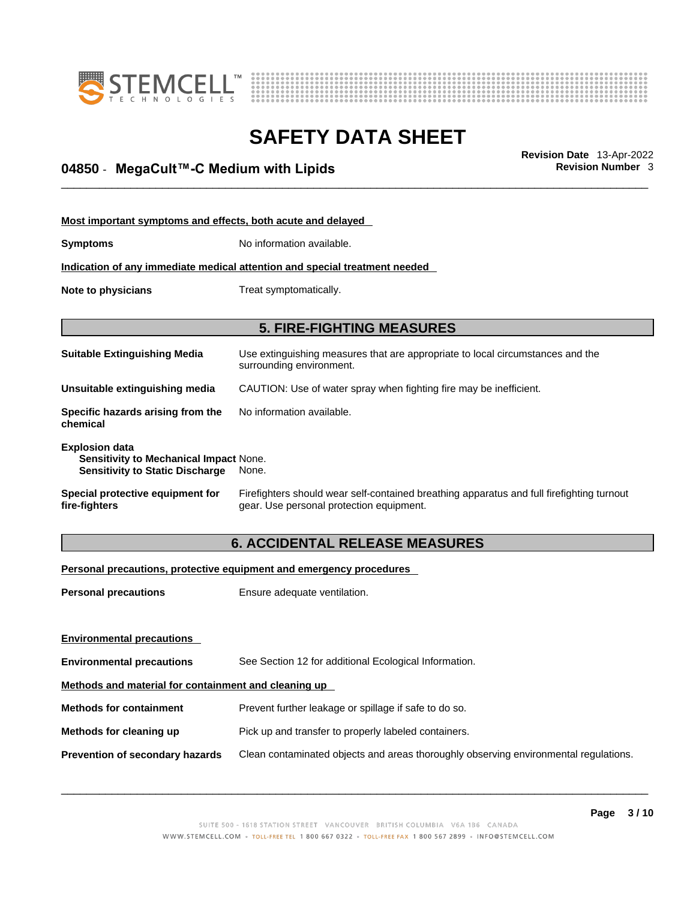



## \_\_\_\_\_\_\_\_\_\_\_\_\_\_\_\_\_\_\_\_\_\_\_\_\_\_\_\_\_\_\_\_\_\_\_\_\_\_\_\_\_\_\_\_\_\_\_\_\_\_\_\_\_\_\_\_\_\_\_\_\_\_\_\_\_\_\_\_\_\_\_\_\_\_\_\_\_\_\_\_\_\_\_\_\_\_\_\_\_\_\_\_\_ **Revision Date** 13-Apr-2022 **04850** - **MegaCult™-C Medium with Lipids Revision Number** 3

| Most important symptoms and effects, both acute and delayed                                                      |                                                                                                                                       |  |
|------------------------------------------------------------------------------------------------------------------|---------------------------------------------------------------------------------------------------------------------------------------|--|
| Symptoms                                                                                                         | No information available.                                                                                                             |  |
|                                                                                                                  | Indication of any immediate medical attention and special treatment needed                                                            |  |
| Note to physicians                                                                                               | Treat symptomatically.                                                                                                                |  |
|                                                                                                                  |                                                                                                                                       |  |
| <b>5. FIRE-FIGHTING MEASURES</b>                                                                                 |                                                                                                                                       |  |
| Suitable Extinguishing Media                                                                                     | Use extinguishing measures that are appropriate to local circumstances and the<br>surrounding environment.                            |  |
| Unsuitable extinguishing media                                                                                   | CAUTION: Use of water spray when fighting fire may be inefficient.                                                                    |  |
| Specific hazards arising from the<br>chemical                                                                    | No information available.                                                                                                             |  |
| <b>Explosion data</b><br><b>Sensitivity to Mechanical Impact None.</b><br><b>Sensitivity to Static Discharge</b> | None.                                                                                                                                 |  |
| Special protective equipment for<br>fire-fighters                                                                | Firefighters should wear self-contained breathing apparatus and full firefighting turnout<br>gear. Use personal protection equipment. |  |

## **6. ACCIDENTAL RELEASE MEASURES**

### **Personal precautions, protective equipment and emergency procedures**

| <b>Personal precautions</b>                          | Ensure adequate ventilation.                                                         |  |
|------------------------------------------------------|--------------------------------------------------------------------------------------|--|
| <b>Environmental precautions</b>                     |                                                                                      |  |
| <b>Environmental precautions</b>                     | See Section 12 for additional Ecological Information.                                |  |
| Methods and material for containment and cleaning up |                                                                                      |  |
| <b>Methods for containment</b>                       | Prevent further leakage or spillage if safe to do so.                                |  |
| Methods for cleaning up                              | Pick up and transfer to properly labeled containers.                                 |  |
| Prevention of secondary hazards                      | Clean contaminated objects and areas thoroughly observing environmental regulations. |  |
|                                                      |                                                                                      |  |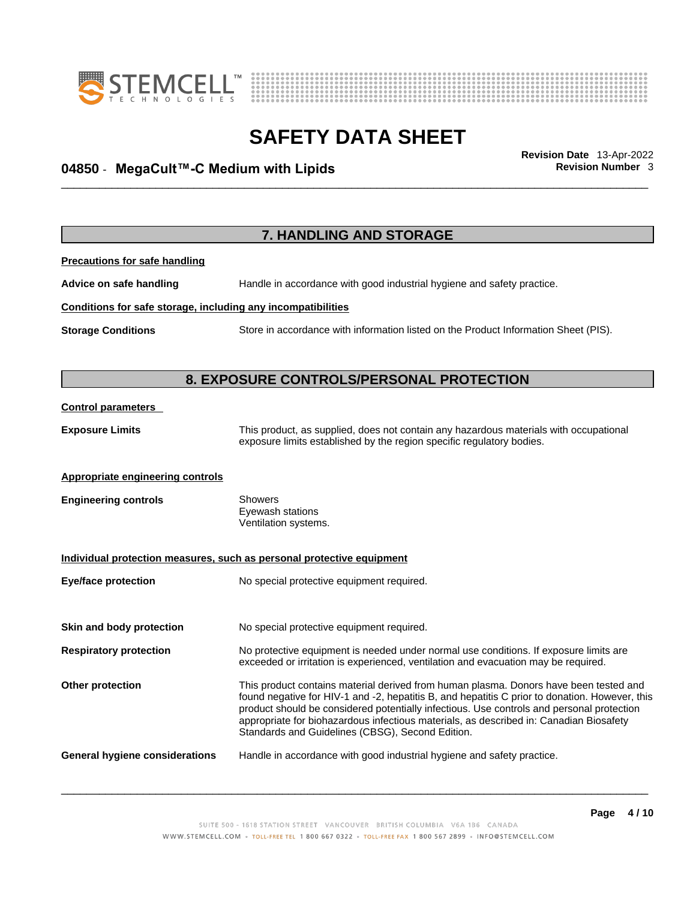



## \_\_\_\_\_\_\_\_\_\_\_\_\_\_\_\_\_\_\_\_\_\_\_\_\_\_\_\_\_\_\_\_\_\_\_\_\_\_\_\_\_\_\_\_\_\_\_\_\_\_\_\_\_\_\_\_\_\_\_\_\_\_\_\_\_\_\_\_\_\_\_\_\_\_\_\_\_\_\_\_\_\_\_\_\_\_\_\_\_\_\_\_\_ **Revision Date** 13-Apr-2022 **04850** - **MegaCult™-C Medium with Lipids Revision Number** 3

|                                                              | 7. HANDLING AND STORAGE                                                                                                                                                                                                                                                                                                                                                                                                            |
|--------------------------------------------------------------|------------------------------------------------------------------------------------------------------------------------------------------------------------------------------------------------------------------------------------------------------------------------------------------------------------------------------------------------------------------------------------------------------------------------------------|
| <b>Precautions for safe handling</b>                         |                                                                                                                                                                                                                                                                                                                                                                                                                                    |
| Advice on safe handling                                      | Handle in accordance with good industrial hygiene and safety practice.                                                                                                                                                                                                                                                                                                                                                             |
| Conditions for safe storage, including any incompatibilities |                                                                                                                                                                                                                                                                                                                                                                                                                                    |
| <b>Storage Conditions</b>                                    | Store in accordance with information listed on the Product Information Sheet (PIS).                                                                                                                                                                                                                                                                                                                                                |
|                                                              | 8. EXPOSURE CONTROLS/PERSONAL PROTECTION                                                                                                                                                                                                                                                                                                                                                                                           |
| <b>Control parameters</b>                                    |                                                                                                                                                                                                                                                                                                                                                                                                                                    |
| <b>Exposure Limits</b>                                       | This product, as supplied, does not contain any hazardous materials with occupational<br>exposure limits established by the region specific regulatory bodies.                                                                                                                                                                                                                                                                     |
| Appropriate engineering controls                             |                                                                                                                                                                                                                                                                                                                                                                                                                                    |
| <b>Engineering controls</b>                                  | <b>Showers</b><br>Eyewash stations<br>Ventilation systems.                                                                                                                                                                                                                                                                                                                                                                         |
|                                                              | Individual protection measures, such as personal protective equipment                                                                                                                                                                                                                                                                                                                                                              |
| <b>Eye/face protection</b>                                   | No special protective equipment required.                                                                                                                                                                                                                                                                                                                                                                                          |
| Skin and body protection                                     | No special protective equipment required.                                                                                                                                                                                                                                                                                                                                                                                          |
| <b>Respiratory protection</b>                                | No protective equipment is needed under normal use conditions. If exposure limits are<br>exceeded or irritation is experienced, ventilation and evacuation may be required.                                                                                                                                                                                                                                                        |
| Other protection                                             | This product contains material derived from human plasma. Donors have been tested and<br>found negative for HIV-1 and -2, hepatitis B, and hepatitis C prior to donation. However, this<br>product should be considered potentially infectious. Use controls and personal protection<br>appropriate for biohazardous infectious materials, as described in: Canadian Biosafety<br>Standards and Guidelines (CBSG), Second Edition. |
| <b>General hygiene considerations</b>                        | Handle in accordance with good industrial hygiene and safety practice.                                                                                                                                                                                                                                                                                                                                                             |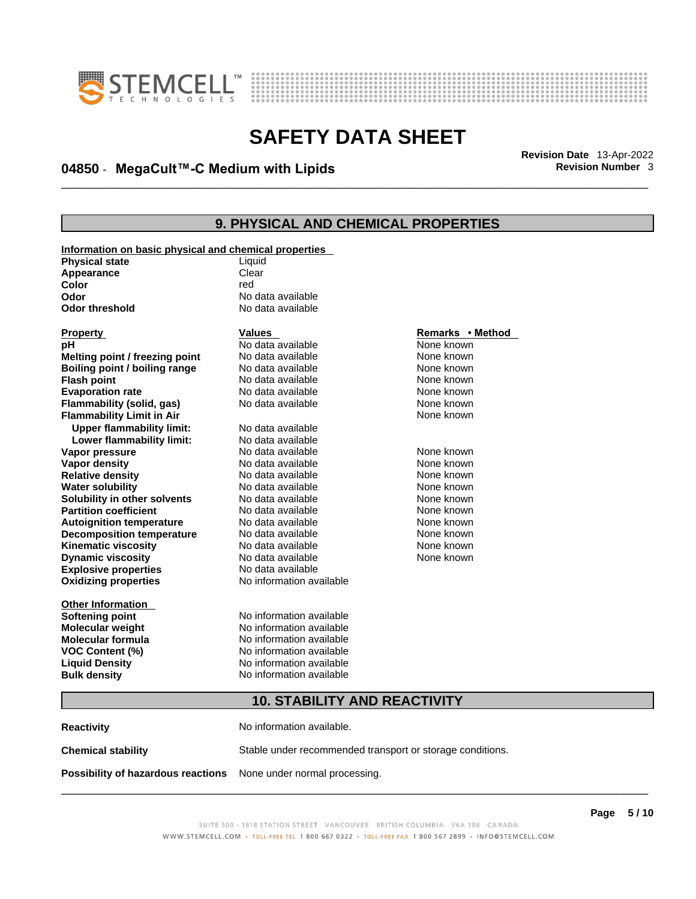



## \_\_\_\_\_\_\_\_\_\_\_\_\_\_\_\_\_\_\_\_\_\_\_\_\_\_\_\_\_\_\_\_\_\_\_\_\_\_\_\_\_\_\_\_\_\_\_\_\_\_\_\_\_\_\_\_\_\_\_\_\_\_\_\_\_\_\_\_\_\_\_\_\_\_\_\_\_\_\_\_\_\_\_\_\_\_\_\_\_\_\_\_\_ **Revision Date** 13-Apr-2022 **04850** - **MegaCult™-C Medium with Lipids Revision Number** 3

## **9. PHYSICAL AND CHEMICAL PROPERTIES**

| Information on basic physical and chemical properties |                          |                  |  |
|-------------------------------------------------------|--------------------------|------------------|--|
| <b>Physical state</b>                                 | Liquid                   |                  |  |
| Appearance                                            | Clear                    |                  |  |
| Color                                                 | red                      |                  |  |
| Odor                                                  | No data available        |                  |  |
| <b>Odor threshold</b>                                 | No data available        |                  |  |
| <b>Property</b>                                       | <b>Values</b>            | Remarks • Method |  |
| рH                                                    | No data available        | None known       |  |
| Melting point / freezing point                        | No data available        | None known       |  |
| Boiling point / boiling range                         | No data available        | None known       |  |
| <b>Flash point</b>                                    | No data available        | None known       |  |
| <b>Evaporation rate</b>                               | No data available        | None known       |  |
| Flammability (solid, gas)                             | No data available        | None known       |  |
| <b>Flammability Limit in Air</b>                      |                          | None known       |  |
| <b>Upper flammability limit:</b>                      | No data available        |                  |  |
| Lower flammability limit:                             | No data available        |                  |  |
| Vapor pressure                                        | No data available        | None known       |  |
| Vapor density                                         | No data available        | None known       |  |
| <b>Relative density</b>                               | No data available        | None known       |  |
| <b>Water solubility</b>                               | No data available        | None known       |  |
| Solubility in other solvents                          | No data available        | None known       |  |
| <b>Partition coefficient</b>                          | No data available        | None known       |  |
| <b>Autoignition temperature</b>                       | No data available        | None known       |  |
| <b>Decomposition temperature</b>                      | No data available        | None known       |  |
| <b>Kinematic viscosity</b>                            | No data available        | None known       |  |
| <b>Dynamic viscosity</b>                              | No data available        | None known       |  |
| <b>Explosive properties</b>                           | No data available        |                  |  |
| <b>Oxidizing properties</b>                           | No information available |                  |  |
| <b>Other Information</b>                              |                          |                  |  |
| <b>Softening point</b>                                | No information available |                  |  |
| <b>Molecular weight</b>                               | No information available |                  |  |
| <b>Molecular formula</b>                              | No information available |                  |  |
| <b>VOC Content (%)</b>                                | No information available |                  |  |
| <b>Liquid Density</b>                                 | No information available |                  |  |
| <b>Bulk density</b>                                   | No information available |                  |  |
| <b>10. STABILITY AND REACTIVITY</b>                   |                          |                  |  |
|                                                       |                          |                  |  |

**Reactivity No information available. Chemical stability** Stable under recommended transport or storage conditions. **Possibility of hazardous reactions** None under normal processing.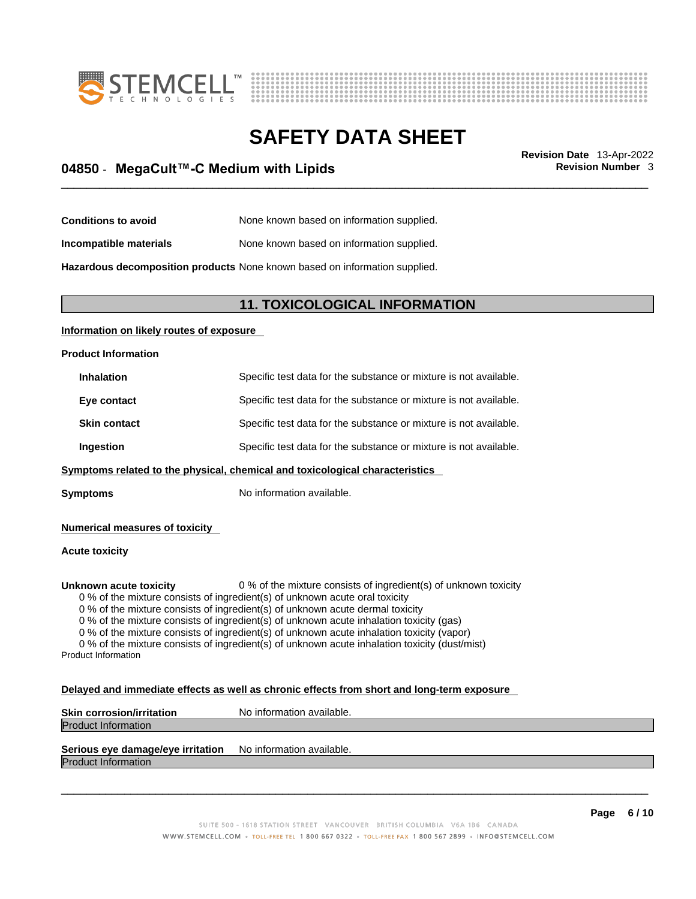



## \_\_\_\_\_\_\_\_\_\_\_\_\_\_\_\_\_\_\_\_\_\_\_\_\_\_\_\_\_\_\_\_\_\_\_\_\_\_\_\_\_\_\_\_\_\_\_\_\_\_\_\_\_\_\_\_\_\_\_\_\_\_\_\_\_\_\_\_\_\_\_\_\_\_\_\_\_\_\_\_\_\_\_\_\_\_\_\_\_\_\_\_\_ **Revision Date** 13-Apr-2022 **04850** - **MegaCult™-C Medium with Lipids Revision Number** 3

| <b>Conditions to avoid</b> | None known based on information supplied. |
|----------------------------|-------------------------------------------|
|----------------------------|-------------------------------------------|

**Incompatible materials** None known based on information supplied.

**Hazardous decomposition products** None known based on information supplied.

### **11. TOXICOLOGICAL INFORMATION**

### **Information on likely routes of exposure**

### **Product Information**

| <b>Inhalation</b>   | Specific test data for the substance or mixture is not available. |
|---------------------|-------------------------------------------------------------------|
| Eye contact         | Specific test data for the substance or mixture is not available. |
| <b>Skin contact</b> | Specific test data for the substance or mixture is not available. |
| Ingestion           | Specific test data for the substance or mixture is not available. |
|                     |                                                                   |

**Symptoms** related to the physical, chemical and toxicological characteristics

**Symptoms** No information available.

**Numerical measures of toxicity**

### **Acute toxicity**

**Unknown acute toxicity** 0 % of the mixture consists of ingredient(s) of unknown toxicity

0 % of the mixture consists of ingredient(s) of unknown acute oral toxicity

0 % of the mixture consists of ingredient(s) of unknown acute dermal toxicity

0 % of the mixture consists of ingredient(s) of unknown acute inhalation toxicity (gas)

0 % of the mixture consists of ingredient(s) of unknown acute inhalation toxicity (vapor)

0 % of the mixture consists of ingredient(s) of unknown acute inhalation toxicity (dust/mist) Product Information

#### **Delayed and immediate effects as well as chronic effects from short and long-term exposure**

| <b>Skin corrosion/irritation</b> | No information available. |
|----------------------------------|---------------------------|
| <b>Product Information</b>       |                           |
|                                  |                           |

## **Serious eye damage/eye irritation** No information available.

Product Information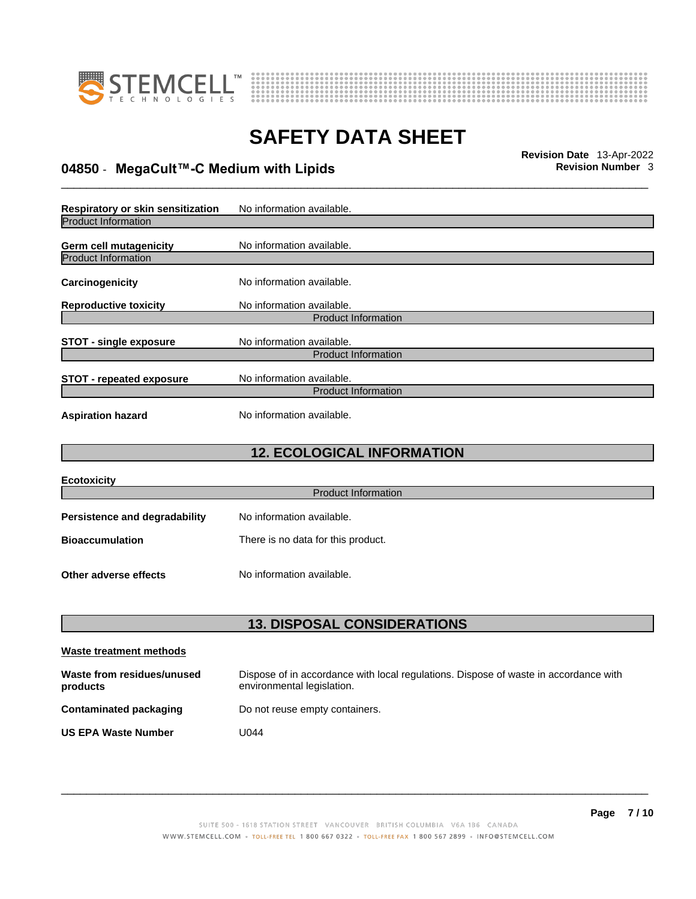



## \_\_\_\_\_\_\_\_\_\_\_\_\_\_\_\_\_\_\_\_\_\_\_\_\_\_\_\_\_\_\_\_\_\_\_\_\_\_\_\_\_\_\_\_\_\_\_\_\_\_\_\_\_\_\_\_\_\_\_\_\_\_\_\_\_\_\_\_\_\_\_\_\_\_\_\_\_\_\_\_\_\_\_\_\_\_\_\_\_\_\_\_\_ **Revision Date** 13-Apr-2022 **04850** - **MegaCult™-C Medium with Lipids Revision Number** 3

**Respiratory or skin sensitization** No information available. Product Information **Germ cell mutagenicity** No information available. Product Information **Carcinogenicity** No information available. **Reproductive toxicity** No information available. Product Information **STOT** - single exposure<br>
No information available. Product Information **STOT** - **repeated exposure** No information available. Product Information **Aspiration hazard** No information available.

## **12. ECOLOGICAL INFORMATION**

| <b>Ecotoxicity</b>            |                                    |
|-------------------------------|------------------------------------|
|                               | <b>Product Information</b>         |
| Persistence and degradability | No information available.          |
| <b>Bioaccumulation</b>        | There is no data for this product. |
| Other adverse effects         | No information available.          |

## **13. DISPOSAL CONSIDERATIONS**

| Waste treatment methods                |                                                                                                                    |
|----------------------------------------|--------------------------------------------------------------------------------------------------------------------|
| Waste from residues/unused<br>products | Dispose of in accordance with local regulations. Dispose of waste in accordance with<br>environmental legislation. |
| Contaminated packaging                 | Do not reuse empty containers.                                                                                     |
| <b>US EPA Waste Number</b>             | U044                                                                                                               |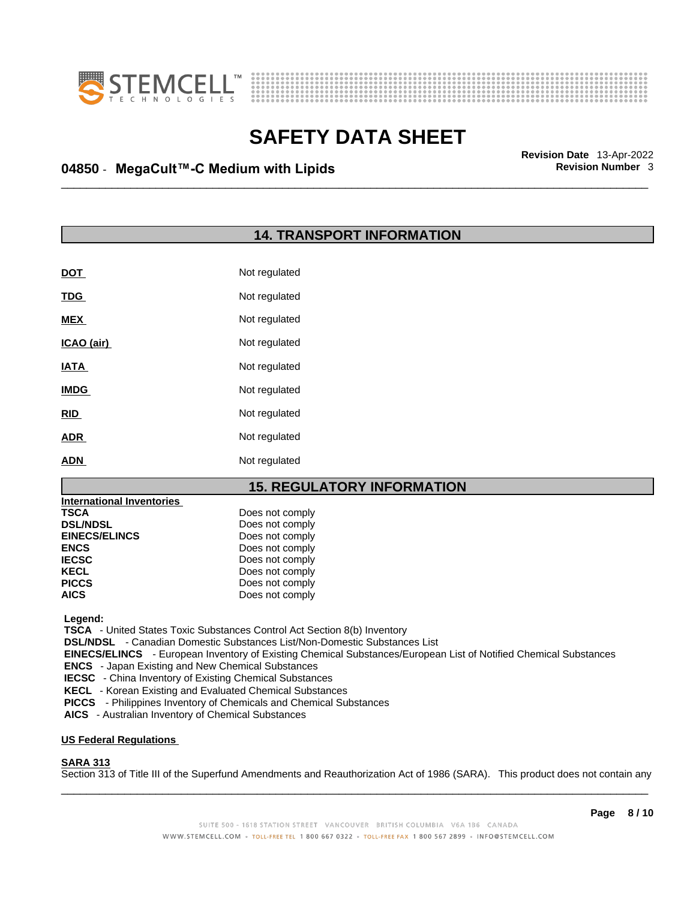



## \_\_\_\_\_\_\_\_\_\_\_\_\_\_\_\_\_\_\_\_\_\_\_\_\_\_\_\_\_\_\_\_\_\_\_\_\_\_\_\_\_\_\_\_\_\_\_\_\_\_\_\_\_\_\_\_\_\_\_\_\_\_\_\_\_\_\_\_\_\_\_\_\_\_\_\_\_\_\_\_\_\_\_\_\_\_\_\_\_\_\_\_\_ **Revision Date** 13-Apr-2022 **04850** - **MegaCult™-C Medium with Lipids Revision Number** 3

### **14. TRANSPORT INFORMATION**

| <u>DOT</u>  | Not regulated |
|-------------|---------------|
| <b>TDG</b>  | Not regulated |
| <b>MEX</b>  | Not regulated |
| ICAO (air)  | Not regulated |
| <b>IATA</b> | Not regulated |
| <b>IMDG</b> | Not regulated |
| <b>RID</b>  | Not regulated |
| <b>ADR</b>  | Not regulated |
| <b>ADN</b>  | Not regulated |

## **15. REGULATORY INFORMATION**

| International Inventories |                 |
|---------------------------|-----------------|
| <b>TSCA</b>               | Does not comply |
| <b>DSL/NDSL</b>           | Does not comply |
| <b>EINECS/ELINCS</b>      | Does not comply |
| <b>ENCS</b>               | Does not comply |
| <b>IECSC</b>              | Does not comply |
| <b>KECL</b>               | Does not comply |
| <b>PICCS</b>              | Does not comply |
| <b>AICS</b>               | Does not comply |

 **Legend:** 

 **TSCA** - United States Toxic Substances Control Act Section 8(b) Inventory

 **DSL/NDSL** - Canadian Domestic Substances List/Non-Domestic Substances List

 **EINECS/ELINCS** - European Inventory of Existing Chemical Substances/European List of Notified Chemical Substances

 **ENCS** - Japan Existing and New Chemical Substances

 **IECSC** - China Inventory of Existing Chemical Substances

 **KECL** - Korean Existing and Evaluated Chemical Substances

 **PICCS** - Philippines Inventory of Chemicals and Chemical Substances

 **AICS** - Australian Inventory of Chemical Substances

#### **US Federal Regulations**

### **SARA 313**

 $\_$  ,  $\_$  ,  $\_$  ,  $\_$  ,  $\_$  ,  $\_$  ,  $\_$  ,  $\_$  ,  $\_$  ,  $\_$  ,  $\_$  ,  $\_$  ,  $\_$  ,  $\_$  ,  $\_$  ,  $\_$  ,  $\_$  ,  $\_$  ,  $\_$  ,  $\_$  ,  $\_$  ,  $\_$  ,  $\_$  ,  $\_$  ,  $\_$  ,  $\_$  ,  $\_$  ,  $\_$  ,  $\_$  ,  $\_$  ,  $\_$  ,  $\_$  ,  $\_$  ,  $\_$  ,  $\_$  ,  $\_$  ,  $\_$  , Section 313 of Title III of the Superfund Amendments and Reauthorization Act of 1986 (SARA). This product does not contain any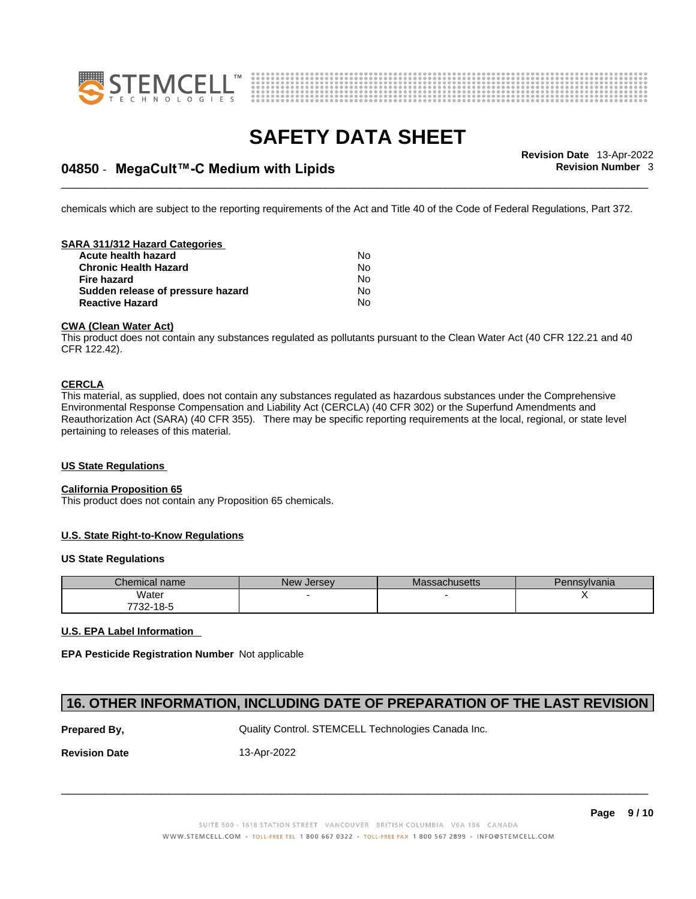



## \_\_\_\_\_\_\_\_\_\_\_\_\_\_\_\_\_\_\_\_\_\_\_\_\_\_\_\_\_\_\_\_\_\_\_\_\_\_\_\_\_\_\_\_\_\_\_\_\_\_\_\_\_\_\_\_\_\_\_\_\_\_\_\_\_\_\_\_\_\_\_\_\_\_\_\_\_\_\_\_\_\_\_\_\_\_\_\_\_\_\_\_\_ **Revision Date** 13-Apr-2022 **04850** - **MegaCult™-C Medium with Lipids Revision Number** 3

chemicals which are subject to the reporting requirements of the Act and Title 40 of the Code of Federal Regulations, Part 372.

### **SARA 311/312 Hazard Categories**

| <b>Acute health hazard</b>        | No |
|-----------------------------------|----|
| <b>Chronic Health Hazard</b>      | No |
| <b>Fire hazard</b>                | Nο |
| Sudden release of pressure hazard | No |
| <b>Reactive Hazard</b>            | No |

#### **CWA (Clean WaterAct)**

This product does not contain any substances regulated as pollutants pursuant to the Clean Water Act (40 CFR 122.21 and 40 CFR 122.42).

### **CERCLA**

This material, as supplied, does not contain any substances regulated as hazardous substances under the Comprehensive Environmental Response Compensation and Liability Act (CERCLA) (40 CFR 302) or the Superfund Amendments and Reauthorization Act (SARA) (40 CFR 355). There may be specific reporting requirements at the local, regional, or state level pertaining to releases of this material.

#### **US State Regulations**

#### **California Proposition 65**

This product does not contain any Proposition 65 chemicals.

#### **U.S. State Right-to-Know Regulations**

#### **US State Regulations**

| <b>Chemical name</b> | <b>New Jersey</b> | Massachusetts | Pennsylvania |
|----------------------|-------------------|---------------|--------------|
| Water                |                   |               |              |
| 7732-18-5            |                   |               |              |

### **U.S. EPA Label Information**

**EPA Pesticide Registration Number** Not applicable

## **16. OTHER INFORMATION, INCLUDING DATE OF PREPARATION OF THE LAST REVISION**

**Prepared By, State Control. STEMCELL Technologies Canada Inc.** 2014

**Revision Date** 13-Apr-2022

SUITE 500 - 1618 STATION STREET VANCOUVER BRITISH COLUMBIA V6A 1B6 CANADA WWW.STEMCELL.COM • TOLL-FREE TEL 1 800 667 0322 • TOLL-FREE FAX 1 800 567 2899 • INFO@STEMCELL.COM